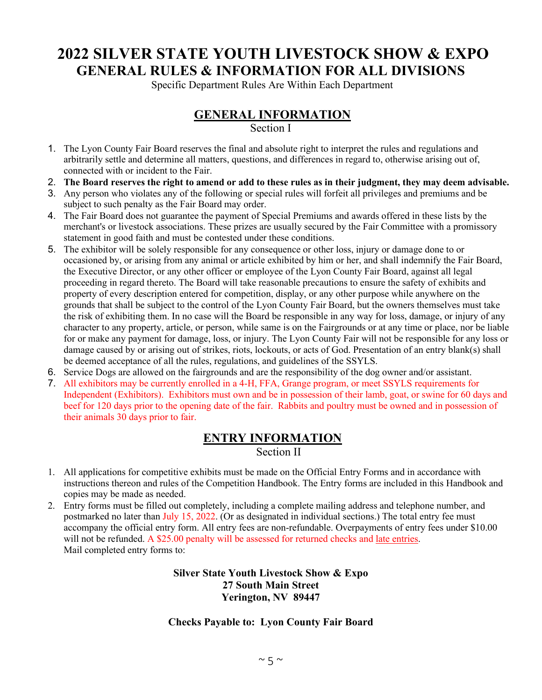## **2022 SILVER STATE YOUTH LIVESTOCK SHOW & EXPO GENERAL RULES & INFORMATION FOR ALL DIVISIONS**

Specific Department Rules Are Within Each Department

### **GENERAL INFORMATION**

#### Section I

- 1. The Lyon County Fair Board reserves the final and absolute right to interpret the rules and regulations and arbitrarily settle and determine all matters, questions, and differences in regard to, otherwise arising out of, connected with or incident to the Fair.
- 2. **The Board reserves the right to amend or add to these rules as in their judgment, they may deem advisable.**
- 3. Any person who violates any of the following or special rules will forfeit all privileges and premiums and be subject to such penalty as the Fair Board may order.
- 4. The Fair Board does not guarantee the payment of Special Premiums and awards offered in these lists by the merchant's or livestock associations. These prizes are usually secured by the Fair Committee with a promissory statement in good faith and must be contested under these conditions.
- 5. The exhibitor will be solely responsible for any consequence or other loss, injury or damage done to or occasioned by, or arising from any animal or article exhibited by him or her, and shall indemnify the Fair Board, the Executive Director, or any other officer or employee of the Lyon County Fair Board, against all legal proceeding in regard thereto. The Board will take reasonable precautions to ensure the safety of exhibits and property of every description entered for competition, display, or any other purpose while anywhere on the grounds that shall be subject to the control of the Lyon County Fair Board, but the owners themselves must take the risk of exhibiting them. In no case will the Board be responsible in any way for loss, damage, or injury of any character to any property, article, or person, while same is on the Fairgrounds or at any time or place, nor be liable for or make any payment for damage, loss, or injury. The Lyon County Fair will not be responsible for any loss or damage caused by or arising out of strikes, riots, lockouts, or acts of God. Presentation of an entry blank(s) shall be deemed acceptance of all the rules, regulations, and guidelines of the SSYLS.
- 6. Service Dogs are allowed on the fairgrounds and are the responsibility of the dog owner and/or assistant.
- 7. All exhibitors may be currently enrolled in a 4-H, FFA, Grange program, or meet SSYLS requirements for Independent (Exhibitors). Exhibitors must own and be in possession of their lamb, goat, or swine for 60 days and beef for 120 days prior to the opening date of the fair. Rabbits and poultry must be owned and in possession of their animals 30 days prior to fair.

### **ENTRY INFORMATION**

Section II

- 1. All applications for competitive exhibits must be made on the Official Entry Forms and in accordance with instructions thereon and rules of the Competition Handbook. The Entry forms are included in this Handbook and copies may be made as needed.
- 2. Entry forms must be filled out completely, including a complete mailing address and telephone number, and postmarked no later than July 15, 2022. (Or as designated in individual sections.) The total entry fee must accompany the official entry form. All entry fees are non-refundable. Overpayments of entry fees under \$10.00 will not be refunded. A \$25.00 penalty will be assessed for returned checks and late entries. Mail completed entry forms to:

#### **Silver State Youth Livestock Show & Expo 27 South Main Street Yerington, NV 89447**

#### **Checks Payable to: Lyon County Fair Board**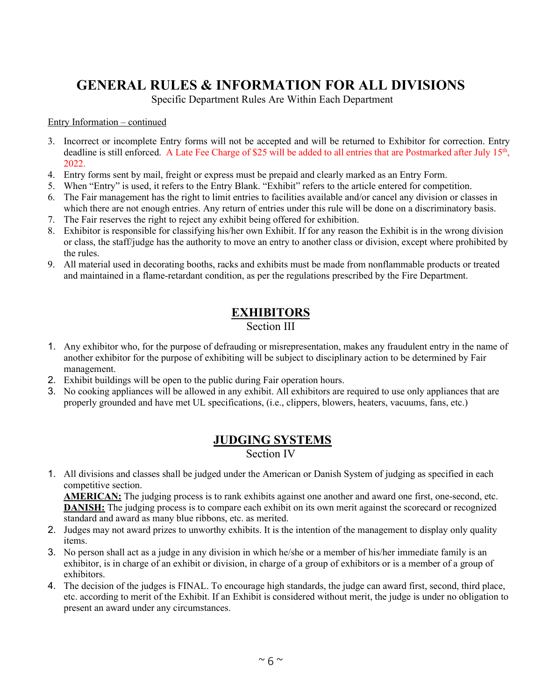# **GENERAL RULES & INFORMATION FOR ALL DIVISIONS**

Specific Department Rules Are Within Each Department

Entry Information – continued

- 3. Incorrect or incomplete Entry forms will not be accepted and will be returned to Exhibitor for correction. Entry deadline is still enforced. A Late Fee Charge of \$25 will be added to all entries that are Postmarked after July 15<sup>th</sup>, 2022.
- 4. Entry forms sent by mail, freight or express must be prepaid and clearly marked as an Entry Form.
- 5. When "Entry" is used, it refers to the Entry Blank. "Exhibit" refers to the article entered for competition.
- 6. The Fair management has the right to limit entries to facilities available and/or cancel any division or classes in which there are not enough entries. Any return of entries under this rule will be done on a discriminatory basis.
- 7. The Fair reserves the right to reject any exhibit being offered for exhibition.
- 8. Exhibitor is responsible for classifying his/her own Exhibit. If for any reason the Exhibit is in the wrong division or class, the staff/judge has the authority to move an entry to another class or division, except where prohibited by the rules.
- 9. All material used in decorating booths, racks and exhibits must be made from nonflammable products or treated and maintained in a flame-retardant condition, as per the regulations prescribed by the Fire Department.

# **EXHIBITORS**

Section III

- 1. Any exhibitor who, for the purpose of defrauding or misrepresentation, makes any fraudulent entry in the name of another exhibitor for the purpose of exhibiting will be subject to disciplinary action to be determined by Fair management.
- 2. Exhibit buildings will be open to the public during Fair operation hours.
- 3. No cooking appliances will be allowed in any exhibit. All exhibitors are required to use only appliances that are properly grounded and have met UL specifications, (i.e., clippers, blowers, heaters, vacuums, fans, etc.)

### **JUDGING SYSTEMS** Section IV

1. All divisions and classes shall be judged under the American or Danish System of judging as specified in each competitive section.

**AMERICAN:** The judging process is to rank exhibits against one another and award one first, one-second, etc. **DANISH:** The judging process is to compare each exhibit on its own merit against the scorecard or recognized standard and award as many blue ribbons, etc. as merited.

- 2. Judges may not award prizes to unworthy exhibits. It is the intention of the management to display only quality items.
- 3. No person shall act as a judge in any division in which he/she or a member of his/her immediate family is an exhibitor, is in charge of an exhibit or division, in charge of a group of exhibitors or is a member of a group of exhibitors.
- 4. The decision of the judges is FINAL. To encourage high standards, the judge can award first, second, third place, etc. according to merit of the Exhibit. If an Exhibit is considered without merit, the judge is under no obligation to present an award under any circumstances.